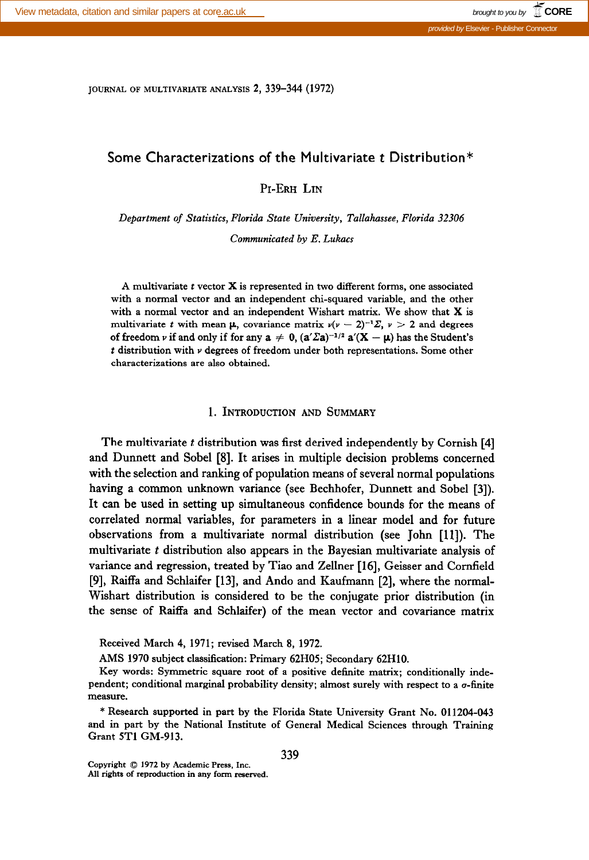JOURNAL OF MULTIVARIATE ANALYSIS 2, 339-344 (1972)

# Some Characterizations of the Multivariate t Distribution\*

PI-ERH LIN

Department of Statistics, Florida State University, Tallahassee, Florida 32306

Communicated by E. Lukacs

A multivariate t vector X is represented in two different forms, one associated with a normal vector and an independent chi-squared variable, and the other with a normal vector and an independent Wishart matrix. We show that  $X$  is multivariate t with mean  $\mu$ , covariance matrix  $\nu(\nu - 2)^{-1}\Sigma$ ,  $\nu > 2$  and degrees of freedom v if and only if for any  $a \neq 0$ ,  $(a'\Sigma a)^{-1/2} a'(X - \mu)$  has the Student's  $t$  distribution with  $\nu$  degrees of freedom under both representations. Some other characterizations are also obtained.

## 1. INTRODUCTION AND SUMMARY

The multivariate t distribution was first derived independently by Cornish [4] and Dunnett and Sobel [8]. It arises in multiple decision problems concerned with the selection and ranking of population means of several normal populations having a common unknown variance (see Bechhofer, Dunnett and Sobel [3]). It can be used in setting up simultaneous confidence bounds for the means of correlated normal variables, for parameters in a linear model and for future observations from a multivariate normal distribution (see John [ll]). The multivariate  $t$  distribution also appears in the Bayesian multivariate analysis of variance and regression, treated by Tiao and Zellner [16], Geisser and Cornfield [9], Raiffa and Schlaifer [13], and Ando and Kaufmann [2], where the normal-Wishart distribution is considered to be the conjugate prior distribution (in the sense of Raiffa and Schlaifer) of the mean vector and covariance matrix

Received March 4, 1971; revised March 8, 1972.

AMS 1970 subject classification: Primary 62H05; Secondary 62HlO.

Key words: Symmetric square root of a positive definite matrix; conditionally independent; conditional marginal probability density; almost surely with respect to a o-finite measure.

\* Research supported in part by the Florida State University Grant No. 011204-043 and in part by the National Institute of General Medical Sciences through Training Grant 5Tl GM-913.

339 Copyright 0 1972 by Academic Press, Inc. All rights of reproduction in any form reserved.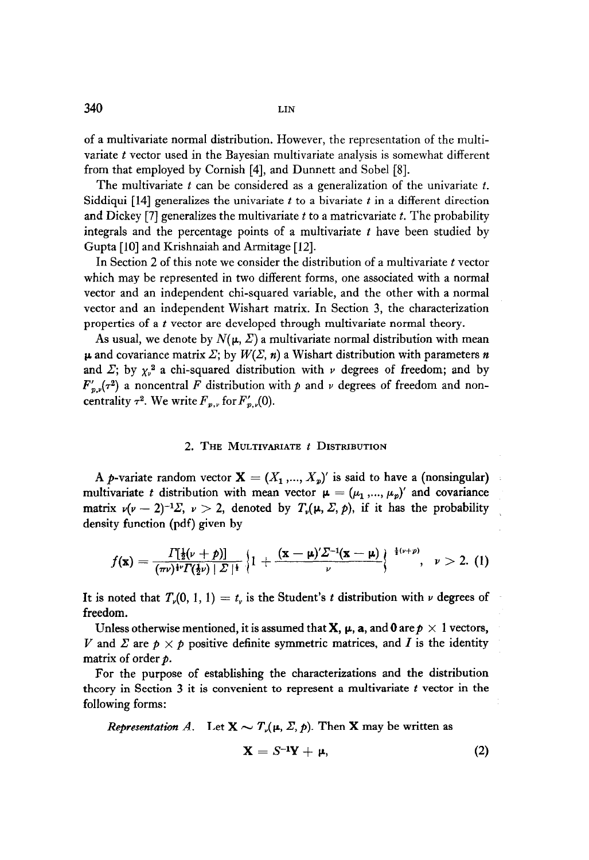$340$  LIN

of a multivariate normal distribution. However, the representation of the multivariate  $t$  vector used in the Bayesian multivariate analysis is somewhat different from that employed by Cornish [4], and Dunnett and Sobel [S].

The multivariate  $t$  can be considered as a generalization of the univariate  $t$ . Siddiqui  $[14]$  generalizes the univariate t to a bivariate t in a different direction and Dickey [7] generalizes the multivariate  $t$  to a matricvariate  $t$ . The probability integrals and the percentage points of a multivariate  $t$  have been studied by Gupta [10] and Krishnaiah and Armitage [12].

In Section 2 of this note we consider the distribution of a multivariate  $t$  vector which may be represented in two different forms, one associated with a normal vector and an independent chi-squared variable, and the other with a normal vector and an independent Wishart matrix. In Section 3, the characterization properties of a t vector are developed through multivariate normal theory.

As usual, we denote by  $N(\mu, \Sigma)$  a multivariate normal distribution with mean  $\mu$  and covariance matrix  $\Sigma$ ; by  $W(\Sigma, n)$  a Wishart distribution with parameters n and  $\Sigma$ ; by  $\chi_{\nu}^2$  a chi-squared distribution with  $\nu$  degrees of freedom; and by  $F'_{n,\nu}(\tau^2)$  a noncentral F distribution with p and v degrees of freedom and noncentrality  $\tau^2$ . We write  $F_{p,\nu}$  for  $F'_{p,\nu}(0)$ .

#### 2. THE MULTIVARIATE  $t$  Distribution

A p-variate random vector  $X = (X_1, ..., X_p)$  is said to have a (nonsingular) multivariate t distribution with mean vector  $\mu = (\mu_1, ..., \mu_p)'$  and covariance matrix  $\nu(\nu - 2)^{-1}\Sigma$ ,  $\nu > 2$ , denoted by  $T_{\nu}(\mu, \Sigma, p)$ , if it has the probability density function (pdf) given by

$$
f(\mathbf{x})=\frac{\Gamma[\frac{1}{2}(\nu+\rho)]}{(\pi\nu)^{\frac{1}{2}\nu}\Gamma(\frac{1}{2}\nu)+\sum_{\nu}\left\{1+\frac{(\mathbf{x}-\mu)^{\prime}\Sigma^{-1}(\mathbf{x}-\mu)}{\nu}\right\}}^{\frac{1}{2}(\nu+\rho)}, \quad \nu>2. \tag{1}
$$

It is noted that  $T_v(0, 1, 1) = t_v$  is the Student's t distribution with v degrees of freedom.

Unless otherwise mentioned, it is assumed that **X**,  $\mu$ , a, and 0 are  $p \times 1$  vectors, V and  $\Sigma$  are  $p \times p$  positive definite symmetric matrices, and I is the identity matrix of order  $p$ .

For the purpose of establishing the characterizations and the distribution theory in Section 3 it is convenient to represent a multivariate  $t$  vector in the following forms:

Representation A. Let  $X \sim T_{\nu}(\mu, \Sigma, p)$ . Then X may be written as

$$
\mathbf{X} = S^{-1}\mathbf{Y} + \mu, \tag{2}
$$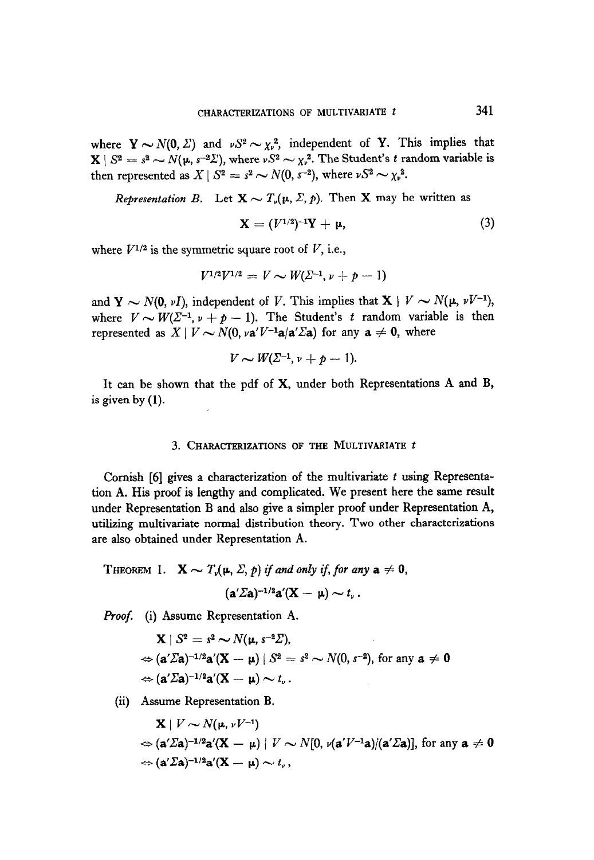where  $Y \sim N(0, \Sigma)$  and  $vS^2 \sim \chi_v^2$ , independent of Y. This implies that  $X \mid S^2 = s^2 \sim N(\mu, s^{-2}\Sigma)$ , where  $\nu S^2 \sim \chi_{\nu}^2$ . The Student's t random variable is then represented as  $X \mid S^2 = s^2 \sim N(0, s^{-2})$ , where  $\nu S^2 \sim \chi_{\nu}^2$ .

Representation B. Let  $X \sim T_{\nu}(\mu, \Sigma, p)$ . Then X may be written as

$$
\mathbf{X} = (V^{1/2})^{-1}\mathbf{Y} + \mu,
$$
 (3)

where  $V^{1/2}$  is the symmetric square root of V, i.e.,

$$
V^{1/2}V^{1/2} = V \sim W(\Sigma^{-1}, \nu + p - 1)
$$

and Y  $\sim N(0, vI)$ , independent of V. This implies that  $X \mid V \sim N(\mu, vV^{-1})$ , where  $V \sim W(\Sigma^{-1}, \nu + p - 1)$ . The Student's t random variable is then represented as  $X \mid V \sim N(0, \nu a' V^{-1} a/a' \Sigma a)$  for any  $a \neq 0$ , where

$$
V \sim W(\Sigma^{-1}, \nu + p - 1).
$$

It can be shown that the pdf of X, under both Representations A and B, is given by (1).

### 3. CHARACTERIZATIONS OF THE MULTIVARIATE  $t$

Cornish  $[6]$  gives a characterization of the multivariate  $t$  using Representation A. His problems a complete indication of the indication of the same results under Representation B and also give a simplementation B and also give a simplement proof under Representation A, in the contract of the contract of the contract of the contract of the contract of the contract of the contr untilizing multivariation distribution of the multivariate normal distribution theory. atuizing munivariate normal uistribution

The  $\frac{1}{2}$  -  $\frac{1}{2}$  -  $\frac{1}{2}$  if and only if and only if and only if any a  $\frac{1}{2}$ (a'Za)-1/2a'(X - p) - t, .

$$
(\mathbf{a}'\varSigma \mathbf{a})^{-1/2}\mathbf{a}'(\mathbf{X}-\mathbf{\mu})\sim t_{\nu}.
$$

Proof. (i) Assume Representation A.

$$
\mathbf{X} | S^2 = s^2 \sim N(\mu, s^{-2} \Sigma),
$$
  
\n
$$
\Leftrightarrow (\mathbf{a}' \Sigma \mathbf{a})^{-1/2} \mathbf{a}'(\mathbf{X} - \mu) | S^2 = s^2 \sim N(0, s^{-2}), \text{ for any } \mathbf{a} \neq \mathbf{0}
$$
  
\n
$$
\Leftrightarrow (\mathbf{a}' \Sigma \mathbf{a})^{-1/2} \mathbf{a}'(\mathbf{X} - \mu) \sim t_v.
$$

$$
\mathbf{X} \mid V \sim N(\mu, \nu V^{-1})
$$
  
\n
$$
\Leftrightarrow (\mathbf{a}'\Sigma \mathbf{a})^{-1/2} \mathbf{a}'(\mathbf{X} - \mu) \mid V \sim N[0, \nu(\mathbf{a}'V^{-1}\mathbf{a})/(\mathbf{a}'\Sigma \mathbf{a})], \text{ for any } \mathbf{a} \neq 0
$$
  
\n
$$
\Leftrightarrow (\mathbf{a}'\Sigma \mathbf{a})^{-1/2} \mathbf{a}'(\mathbf{X} - \mu) \sim t_{\nu},
$$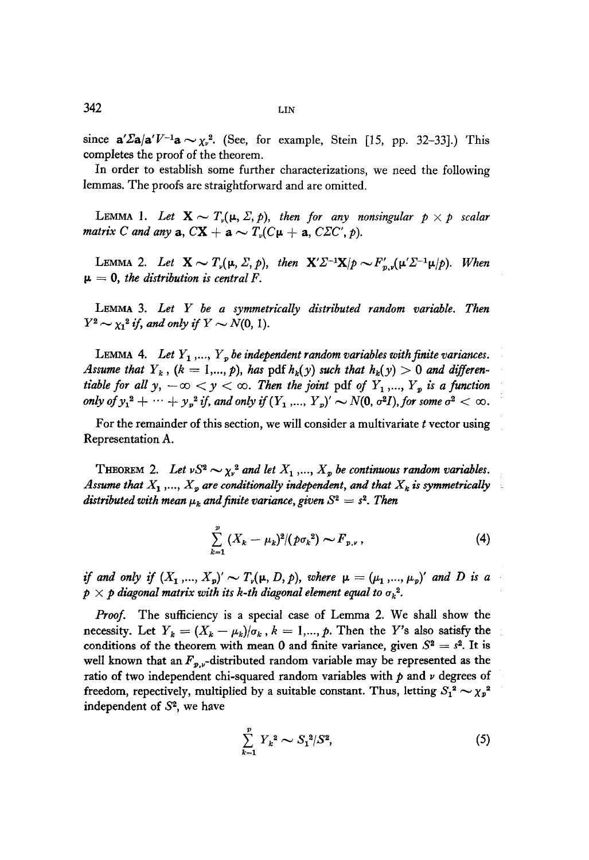since  $a'\Sigma a/a'V^{-1}a \sim \chi_v^2$ . (See, for example, Stein [15, pp. 32-33].) This completes the proof of the theorem.

In order to establish some further characterizations, we need the following lemmas. The proofs are straightforward and are omitted.

LEMMA 1. Let  $X \sim T_{\nu}(\mu, \Sigma, p)$ , then for any nonsingular  $p \times p$  scalar matrix C and any  $a, CX + a \sim T_{\nu}(C\mu + a, C\Sigma C', p)$ .

LEMMA 2. Let  $\mathbf{X} \sim T_p(\mu, \Sigma, p)$ , then  $\mathbf{X}' \Sigma^{-1} \mathbf{X}/p \sim F'_{n,p}(\mu' \Sigma^{-1} \mu/p)$ . When  $\mu = 0$ , the distribution is central F.

LEMMA 3. Let  $Y$  be a symmetrically distributed random variable. Then  $Y^2 \sim \chi_1^2$  if, and only if  $Y \sim N(0, 1)$ .

LEMMA 4. Let  $Y_1$ ,...,  $Y_p$  be independent random variables with finite variances. Assume that  $Y_k$ ,  $(k = 1,..., p)$ , has pdf  $h_k(y)$  such that  $h_k(y) > 0$  and differentiable for all  $y, -\infty < y < \infty$ . Then the joint pdf of  $Y_1, ..., Y_p$  is a function only of  $y_1^2 + \cdots + y_p^2$  if, and only if  $(Y_1, ..., Y_p)' \sim N(0, \sigma^2 I)$ , for some  $\sigma^2 < \infty$ .

For the remainder of this section, we will consider a multivariate  $t$  vector using Representation A.

THEOREM 2. Let  $vS^2 \sim \chi_v^2$  and let  $X_1, ..., X_p$  be continuous random variables. Assume that  $X_1$ ,...,  $X_p$  are conditionally independent, and that  $X_k$  is symmetrically distributed with mean  $\mu_k$  and finite variance, given  $S^2 = s^2$ . Then

$$
\sum_{k=1}^{p} (X_k - \mu_k)^2 / (p \sigma_k^2) \sim F_{p,\nu} , \qquad (4)
$$

if and only if  $(X_1, ..., X_p)' \sim T_p(\mu, D, p)$ , where  $\mu = (\mu_1, ..., \mu_p)'$  and D is a  $p \times p$  diagonal matrix with its k-th diagonal element equal to  $\sigma_k^2$ .

Proof. The sufficiency is a special case of Lemma 2. We shall show the necessity. Let  $Y_k = (X_k - \mu_k)/\sigma_k$ ,  $k = 1,..., p$ . Then the Y's also satisfy the conditions of the theorem with mean 0 and finite variance, given  $S^2 = s^2$ . It is well known that an  $F_{p,\nu}$ -distributed random variable may be represented as the ratio of two independent chi-squared random variables with  $p$  and  $\nu$  degrees of freedom, repectively, multiplied by a suitable constant. Thus, letting  $S_1^2 \sim \chi_p^2$ independent of  $S<sup>2</sup>$ , we have

$$
\sum_{k=1}^{p} Y_k^2 \sim S_1^2 / S^2,\tag{5}
$$

 $342$  LIN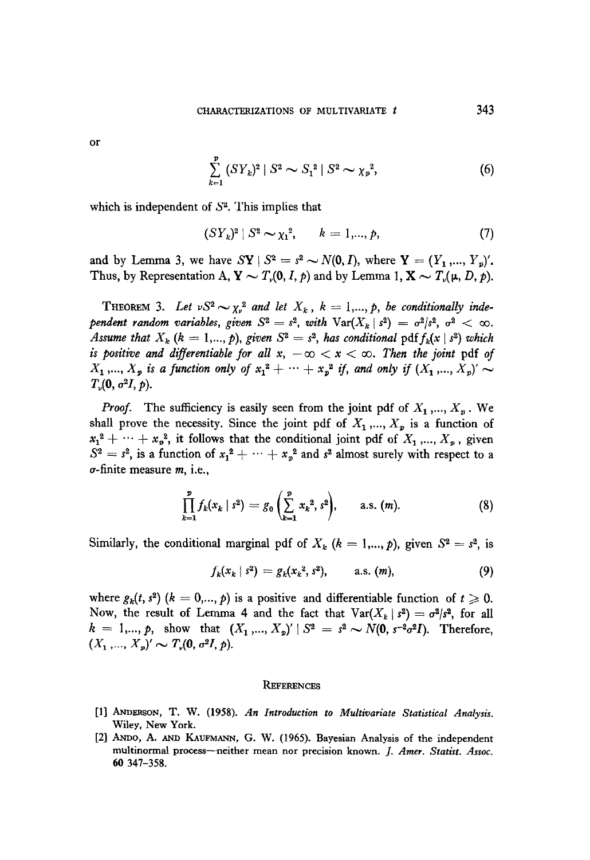or  
\n
$$
\sum_{k=1}^{p} (SY_k)^2 | S^2 \sim S_1^2 | S^2 \sim \chi_p^2,
$$
\n(6)

which is independent of  $S<sup>2</sup>$ . This implies that

$$
(SY_k)^2 \mid S^2 \sim \chi_1^2, \qquad k = 1, ..., p,
$$
 (7)

and by Lemma 3, we have  $SY \mid S^2 = s^2 \sim N(0, I)$ , where  $Y = (Y_1, ..., Y_n)'$ . Thus, by Representation A,  $Y \sim T_r(0, I, p)$  and by Lemma 1,  $X \sim T_r(\mu, D, p)$ .

THEOREM 3. Let  $vS^2 \sim \chi_v^2$  and let  $X_k$ ,  $k = 1, ..., p$ , be conditionally independent random variables, given  $S^2 = s^2$ , with  $\text{Var}(X_k \mid s^2) = \sigma^2/s^2$ ,  $\sigma^2 < \infty$ . Assume that  $X_k$   $(k = 1,..., p)$ , given  $S^2 = s^2$ , has conditional pdf  $f_k(x | s^2)$  which is positive and differentiable for all  $x, -\infty < x < \infty$ . Then the joint pdf of  $X_1$ ,...,  $X_p$  is a function only of  $x_1^2 + \cdots + x_p^2$  if, and only if  $(X_1, ..., X_p) \sim$  $T_{\nu}(0, \sigma^2 I, p).$ 

**Proof.** The sufficiency is easily seen from the joint pdf of  $X_1, ..., X_n$ . We shall prove the necessity. Since the joint pdf of  $X_1, ..., X_n$  is a function of  $x_1^2 + \cdots + x_p^2$ , it follows that the conditional joint pdf of  $X_1, ..., X_p$ , given  $S<sup>2</sup>$  =  $\begin{bmatrix} 1 & 0 & 0 \\ 0 & 0 & 0 \end{bmatrix}$  is a function of  $x\frac{2}{3}$  + 0.1  $x\frac{2}{3}$  and  $x\frac{1}{3}$  almost surely with respect to a  $S<sup>2</sup>$  $\omega = 3$ , is a ranchon  $\omega$ 

$$
\prod_{k=1}^p f_k(x_k \mid s^2) = g_0\left(\sum_{k=1}^p x_k^2, s^2\right), \quad \text{a.s. } (m). \tag{8}
$$

Similarly, the conditional marginal pdf of  $X_k$  ( $k = 1,..., p$ ), given  $S^2 = s^2$ , is

$$
f_k(x_k \,|\, s^2) = g_k(x_k^2, s^2), \qquad \text{a.s. } (m), \tag{9}
$$

where  $\alpha$  is a positive and differentiable function of the positive and differentiable function of the  $\alpha$ . where  $g_k(t, s^2)$   $(k = 0, ..., p)$  is a positive and differentiable function of  $t \ge 0$ . Now, the result of Lemma 4 and the fact that  $Var(X_k | s^2) = \sigma^2/s^2$ , for all  $k = 1,..., p$ , show that  $(X_1,..., X_p)' \mid S^2 = s^2 \sim N(0, s^{-2}\sigma^2 I)$ . Therefore,  $(X_1,..., X_p)' \sim T_v(0, \sigma^2 I, p)$ .

#### **REFERENCES**

- [1] ANDERSON, T. W. (1958). An Introduction to Multivariate Statistical Analysis. Wiley, New York.
- [2] ANDO, A. AND KAUFMANN, G. W. (1965). Bayesian Analysis of the independent multinormal process-neither mean nor precision known. J. Amer. Statist. Assoc. 60 347 - 358.